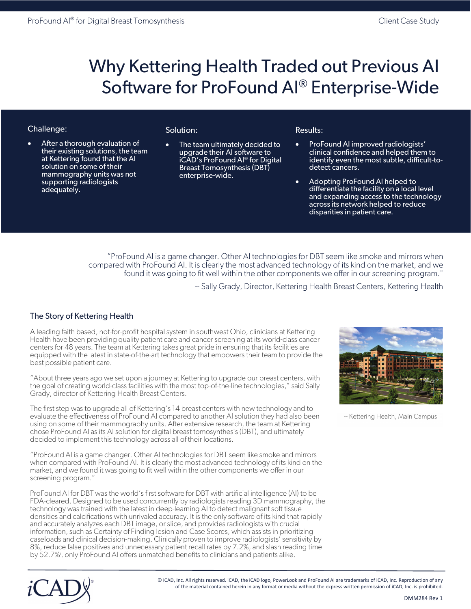# Why Kettering Health Traded out Previous AI Software for ProFound AI® Enterprise-Wide

# Challenge:

After a thorough evaluation of their existing solutions, the team at Kettering found that the AI solution on some of their mammography units was not supporting radiologists adequately.

# Solution:

The team ultimately decided to upgrade their AI software to iCAD's ProFound AI® for Digital Breast Tomosynthesis (DBT) enterprise-wide.

#### Results:

- ProFound AI improved radiologists' clinical confidence and helped them to identify even the most subtle, difficult-todetect cancers.
- Adopting ProFound AI helped to differentiate the facility on a local level and expanding access to the technology across its network helped to reduce disparities in patient care.

"ProFound AI is a game changer. Other AI technologies for DBT seem like smoke and mirrors when compared with ProFound AI. It is clearly the most advanced technology of its kind on the market, and we found it was going to fit well within the other components we offer in our screening program."

-- Sally Grady, Director, Kettering Health Breast Centers, Kettering Health

# The Story of Kettering Health

A leading faith based, not-for-profit hospital system in southwest Ohio, clinicians at Kettering Health have been providing quality patient care and cancer screening at its world-class cancer centers for 48 years. The team at Kettering takes great pride in ensuring that its facilities are equipped with the latest in state-of-the-art technology that empowers their team to provide the best possible patient care.

"About three years ago we set upon a journey at Kettering to upgrade our breast centers, with the goal of creating world-class facilities with the most top-of-the-line technologies," said Sally Grady, director of Kettering Health Breast Centers.

The first step was to upgrade all of Kettering's 14 breast centers with new technology and to evaluate the effectiveness of ProFound AI compared to another AI solution they had also been using on some of their mammography units. After extensive research, the team at Kettering chose ProFound AI as its AI solution for digital breast tomosynthesis (DBT), and ultimately decided to implement this technology across all of their locations.

"ProFound AI is a game changer. Other AI technologies for DBT seem like smoke and mirrors when compared with ProFound AI. It is clearly the most advanced technology of its kind on the market, and we found it was going to fit well within the other components we offer in our screening program."

ProFound AI for DBT was the world's first software for DBT with artificial intelligence (AI) to be FDA-cleared. Designed to be used concurrently by radiologists reading 3D mammography, the technology was trained with the latest in deep-learning AI to detect malignant soft tissue densities and calcifications with unrivaled accuracy. It is the only software of its kind that rapidly and accurately analyzes each DBT image, or slice, and provides radiologists with crucial information, such as Certainty of Finding lesion and Case Scores, which assists in prioritizing caseloads and clinical decision-making. Clinically proven to improve radiologists' sensitivity by 8%, reduce false positives and unnecessary patient recall rates by 7.2%, and slash reading time by 52.7%<sup>i</sup>, only ProFound AI offers unmatched benefits to clinicians and patients alike.



<sup>--</sup> Kettering Health, Main Campus



© iCAD, Inc. All rights reserved. iCAD, the iCAD logo, PowerLook and ProFound AI are trademarks of iCAD, Inc. Reproduction of any of the material contained herein in any format or media without the express written permission of iCAD, Inc. is prohibited.